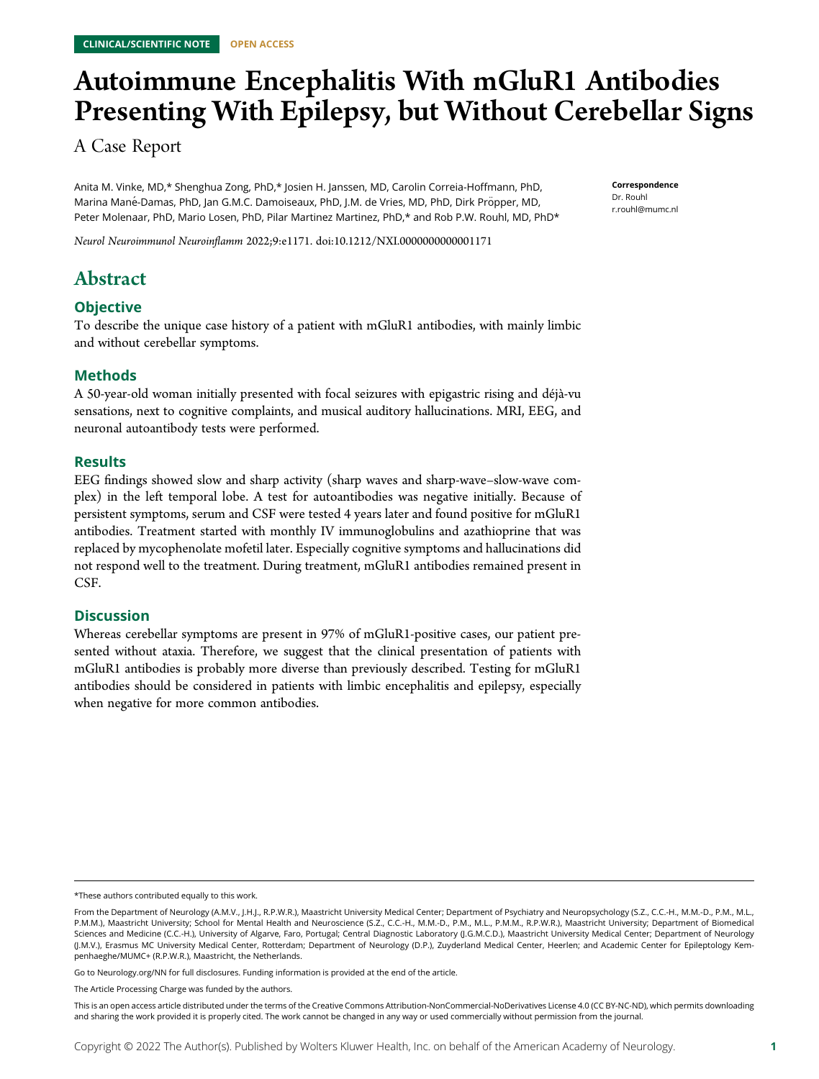# Autoimmune Encephalitis With mGluR1 Antibodies Presenting With Epilepsy, but Without Cerebellar Signs

A Case Report

Anita M. Vinke, MD,\* Shenghua Zong, PhD,\* Josien H. Janssen, MD, Carolin Correia-Hoffmann, PhD, Marina Mané-Damas, PhD, Jan G.M.C. Damoiseaux, PhD, J.M. de Vries, MD, PhD, Dirk Pröpper, MD, Peter Molenaar, PhD, Mario Losen, PhD, Pilar Martinez Martinez, PhD,\* and Rob P.W. Rouhl, MD, PhD\* **Correspondence** Dr. Rouhl [r.rouhl@mumc.nl](mailto:r.rouhl@mumc.nl)

Neurol Neuroimmunol Neuroinflamm 2022;9:e1171. doi[:10.1212/NXI.0000000000001171](http://dx.doi.org/10.1212/NXI.0000000000001171)

# Abstract

# **Objective**

To describe the unique case history of a patient with mGluR1 antibodies, with mainly limbic and without cerebellar symptoms.

# Methods

A 50-year-old woman initially presented with focal seizures with epigastric rising and déjà-vu sensations, next to cognitive complaints, and musical auditory hallucinations. MRI, EEG, and neuronal autoantibody tests were performed.

# Results

EEG findings showed slow and sharp activity (sharp waves and sharp-wave–slow-wave complex) in the left temporal lobe. A test for autoantibodies was negative initially. Because of persistent symptoms, serum and CSF were tested 4 years later and found positive for mGluR1 antibodies. Treatment started with monthly IV immunoglobulins and azathioprine that was replaced by mycophenolate mofetil later. Especially cognitive symptoms and hallucinations did not respond well to the treatment. During treatment, mGluR1 antibodies remained present in CSF.

# **Discussion**

Whereas cerebellar symptoms are present in 97% of mGluR1-positive cases, our patient presented without ataxia. Therefore, we suggest that the clinical presentation of patients with mGluR1 antibodies is probably more diverse than previously described. Testing for mGluR1 antibodies should be considered in patients with limbic encephalitis and epilepsy, especially when negative for more common antibodies.

Go to [Neurology.org/NN](https://nn.neurology.org/content/9/4/e171/tab-article-info) for full disclosures. Funding information is provided at the end of the article.

<sup>\*</sup>These authors contributed equally to this work.

From the Department of Neurology (A.M.V., J.H.J., R.P.W.R.), Maastricht University Medical Center; Department of Psychiatry and Neuropsychology (S.Z., C.C.-H., M.M.-D., P.M., M.L., P.M.M.), Maastricht University; School for Mental Health and Neuroscience (S.Z., C.C.-H., M.M.-D., P.M., M.L., P.M.M., R.P.W.R.), Maastricht University; Department of Biomedical Sciences and Medicine (C.C.-H.), University of Algarve, Faro, Portugal; Central Diagnostic Laboratory (J.G.M.C.D.), Maastricht University Medical Center; Department of Neurology (J.M.V.), Erasmus MC University Medical Center, Rotterdam; Department of Neurology (D.P.), Zuyderland Medical Center, Heerlen; and Academic Center for Epileptology Kempenhaeghe/MUMC+ (R.P.W.R.), Maastricht, the Netherlands.

The Article Processing Charge was funded by the authors.

This is an open access article distributed under the terms of the [Creative Commons Attribution-NonCommercial-NoDerivatives License 4.0 \(CC BY-NC-ND\),](http://creativecommons.org/licenses/by-nc-nd/4.0/) which permits downloading and sharing the work provided it is properly cited. The work cannot be changed in any way or used commercially without permission from the journal.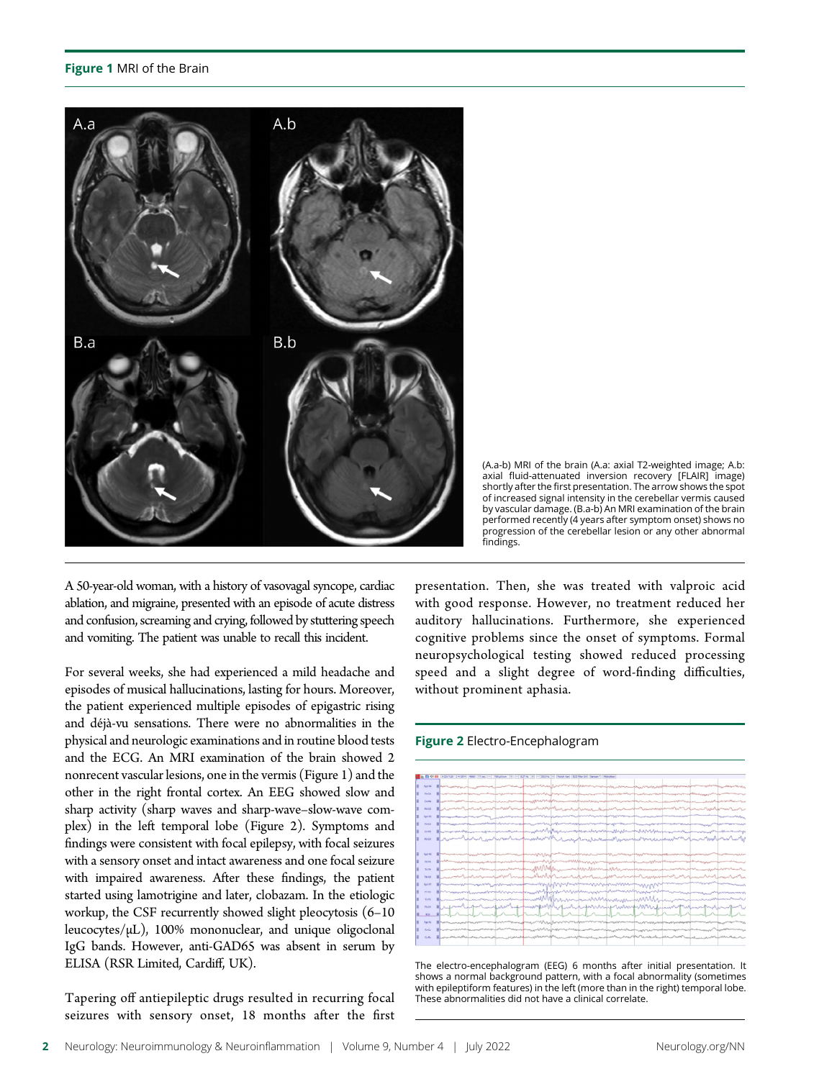#### Figure 1 MRI of the Brain



(A.a-b) MRI of the brain (A.a: axial T2-weighted image; A.b: axial fluid-attenuated inversion recovery [FLAIR] image) shortly after the first presentation. The arrow shows the spot of increased signal intensity in the cerebellar vermis caused by vascular damage. (B.a-b) An MRI examination of the brain performed recently (4 years after symptom onset) shows no progression of the cerebellar lesion or any other abnormal findings.

A 50-year-old woman, with a history of vasovagal syncope, cardiac ablation, and migraine, presented with an episode of acute distress and confusion, screaming and crying, followed by stuttering speech and vomiting. The patient was unable to recall this incident.

For several weeks, she had experienced a mild headache and episodes of musical hallucinations, lasting for hours. Moreover, the patient experienced multiple episodes of epigastric rising and déjà-vu sensations. There were no abnormalities in the physical and neurologic examinations and in routine blood tests and the ECG. An MRI examination of the brain showed 2 nonrecent vascular lesions, one in the vermis (Figure 1) and the other in the right frontal cortex. An EEG showed slow and sharp activity (sharp waves and sharp-wave–slow-wave complex) in the left temporal lobe (Figure 2). Symptoms and findings were consistent with focal epilepsy, with focal seizures with a sensory onset and intact awareness and one focal seizure with impaired awareness. After these findings, the patient started using lamotrigine and later, clobazam. In the etiologic workup, the CSF recurrently showed slight pleocytosis (6–10 leucocytes/μL), 100% mononuclear, and unique oligoclonal IgG bands. However, anti-GAD65 was absent in serum by ELISA (RSR Limited, Cardiff, UK).

Tapering off antiepileptic drugs resulted in recurring focal seizures with sensory onset, 18 months after the first presentation. Then, she was treated with valproic acid with good response. However, no treatment reduced her auditory hallucinations. Furthermore, she experienced cognitive problems since the onset of symptoms. Formal neuropsychological testing showed reduced processing speed and a slight degree of word-finding difficulties, without prominent aphasia.

#### Figure 2 Electro-Encephalogram



The electro-encephalogram (EEG) 6 months after initial presentation. It shows a normal background pattern, with a focal abnormality (sometimes with epileptiform features) in the left (more than in the right) temporal lobe. These abnormalities did not have a clinical correlate.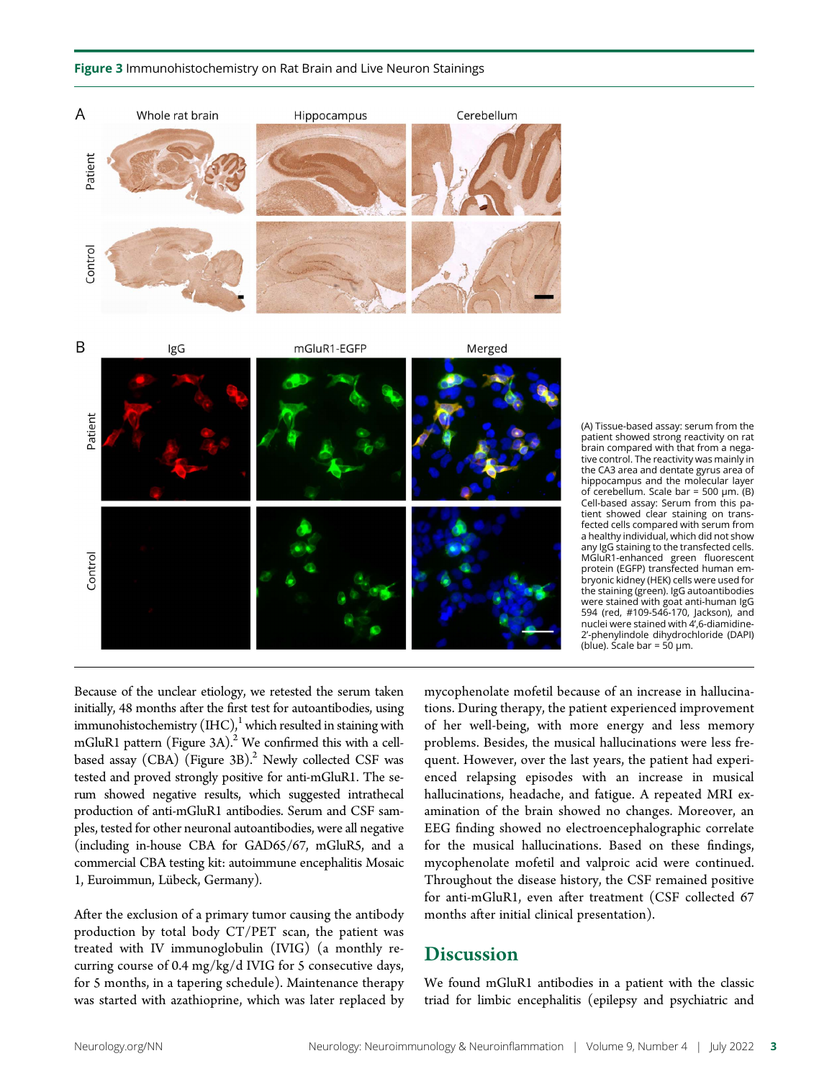



(A) Tissue-based assay: serum from the patient showed strong reactivity on rat brain compared with that from a negative control. The reactivity was mainly in the CA3 area and dentate gyrus area of hippocampus and the molecular layer of cerebellum. Scale bar = 500 μm. (B) Cell-based assay: Serum from this patient showed clear staining on transfected cells compared with serum from a healthy individual, which did not show any IgG staining to the transfected cells. MGluR1-enhanced green fluorescent protein (EGFP) transfected human embryonic kidney (HEK) cells were used for the staining (green). IgG autoantibodies were stained with goat anti-human IgG 594 (red, #109-546-170, Jackson), and nuclei were stained with 4',6-diamidine-2'-phenylindole dihydrochloride (DAPI) (blue). Scale bar = 50  $\mu$ m.

Because of the unclear etiology, we retested the serum taken initially, 48 months after the first test for autoantibodies, using immunohistochemistry  $(HC)<sup>1</sup>$  which resulted in staining with mGluR1 pattern (Figure 3A).<sup>2</sup> We confirmed this with a cellbased assay (CBA) (Figure 3B).<sup>2</sup> Newly collected CSF was tested and proved strongly positive for anti-mGluR1. The serum showed negative results, which suggested intrathecal production of anti-mGluR1 antibodies. Serum and CSF samples, tested for other neuronal autoantibodies, were all negative (including in-house CBA for GAD65/67, mGluR5, and a commercial CBA testing kit: autoimmune encephalitis Mosaic 1, Euroimmun, Lübeck, Germany).

After the exclusion of a primary tumor causing the antibody production by total body CT/PET scan, the patient was treated with IV immunoglobulin (IVIG) (a monthly recurring course of 0.4 mg/kg/d IVIG for 5 consecutive days, for 5 months, in a tapering schedule). Maintenance therapy was started with azathioprine, which was later replaced by mycophenolate mofetil because of an increase in hallucinations. During therapy, the patient experienced improvement of her well-being, with more energy and less memory problems. Besides, the musical hallucinations were less frequent. However, over the last years, the patient had experienced relapsing episodes with an increase in musical hallucinations, headache, and fatigue. A repeated MRI examination of the brain showed no changes. Moreover, an EEG finding showed no electroencephalographic correlate for the musical hallucinations. Based on these findings, mycophenolate mofetil and valproic acid were continued. Throughout the disease history, the CSF remained positive for anti-mGluR1, even after treatment (CSF collected 67 months after initial clinical presentation).

# **Discussion**

We found mGluR1 antibodies in a patient with the classic triad for limbic encephalitis (epilepsy and psychiatric and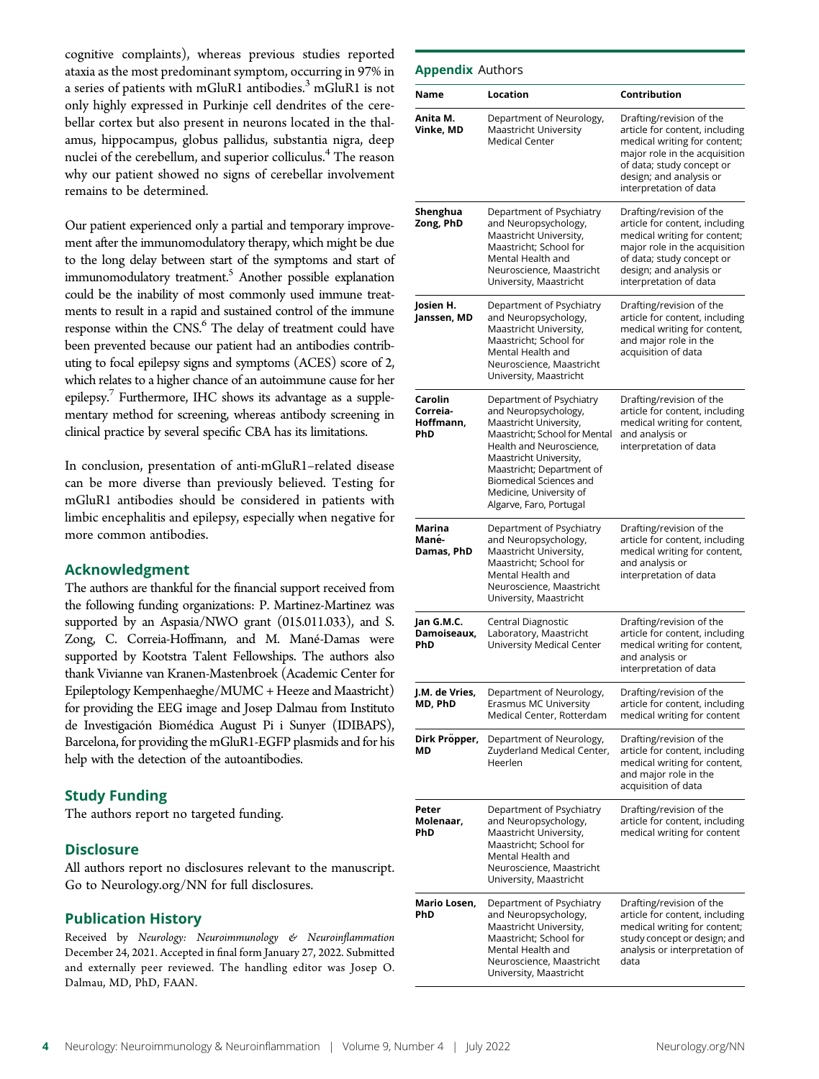cognitive complaints), whereas previous studies reported ataxia as the most predominant symptom, occurring in 97% in a series of patients with mGluR1 antibodies.<sup>3</sup> mGluR1 is not only highly expressed in Purkinje cell dendrites of the cerebellar cortex but also present in neurons located in the thalamus, hippocampus, globus pallidus, substantia nigra, deep nuclei of the cerebellum, and superior colliculus.<sup>4</sup> The reason why our patient showed no signs of cerebellar involvement remains to be determined.

Our patient experienced only a partial and temporary improvement after the immunomodulatory therapy, which might be due to the long delay between start of the symptoms and start of immunomodulatory treatment.<sup>5</sup> Another possible explanation could be the inability of most commonly used immune treatments to result in a rapid and sustained control of the immune response within the CNS.<sup>6</sup> The delay of treatment could have been prevented because our patient had an antibodies contributing to focal epilepsy signs and symptoms (ACES) score of 2, which relates to a higher chance of an autoimmune cause for her epilepsy. $7$  Furthermore, IHC shows its advantage as a supplementary method for screening, whereas antibody screening in clinical practice by several specific CBA has its limitations.

In conclusion, presentation of anti-mGluR1–related disease can be more diverse than previously believed. Testing for mGluR1 antibodies should be considered in patients with limbic encephalitis and epilepsy, especially when negative for more common antibodies.

## Acknowledgment

The authors are thankful for the financial support received from the following funding organizations: P. Martinez-Martinez was supported by an Aspasia/NWO grant (015.011.033), and S. Zong, C. Correia-Hoffmann, and M. Mané-Damas were supported by Kootstra Talent Fellowships. The authors also thank Vivianne van Kranen-Mastenbroek (Academic Center for Epileptology Kempenhaeghe/MUMC + Heeze and Maastricht) for providing the EEG image and Josep Dalmau from Instituto de Investigación Biomédica August Pi i Sunyer (IDIBAPS), Barcelona, for providing the mGluR1-EGFP plasmids and for his help with the detection of the autoantibodies.

# Study Funding

The authors report no targeted funding.

### **Disclosure**

All authors report no disclosures relevant to the manuscript. Go to [Neurology.org/NN](https://nn.neurology.org/content/9/4/e171/tab-article-info) for full disclosures.

#### Publication History

Received by Neurology: Neuroimmunology & Neuroinflammation December 24, 2021. Accepted in final form January 27, 2022. Submitted and externally peer reviewed. The handling editor was Josep O. Dalmau, MD, PhD, FAAN.

| Name                                    | Location                                                                                                                                                                                                                                                                               | Contribution                                                                                                                                                                                                  |
|-----------------------------------------|----------------------------------------------------------------------------------------------------------------------------------------------------------------------------------------------------------------------------------------------------------------------------------------|---------------------------------------------------------------------------------------------------------------------------------------------------------------------------------------------------------------|
| Anita M.<br>Vinke, MD                   | Department of Neurology,<br>Maastricht University<br><b>Medical Center</b>                                                                                                                                                                                                             | Drafting/revision of the<br>article for content, including<br>medical writing for content;<br>major role in the acquisition<br>of data; study concept or<br>design; and analysis or<br>interpretation of data |
| Shenghua<br>Zong, PhD                   | Department of Psychiatry<br>and Neuropsychology,<br>Maastricht University,<br>Maastricht; School for<br>Mental Health and<br>Neuroscience, Maastricht<br>University, Maastricht                                                                                                        | Drafting/revision of the<br>article for content, including<br>medical writing for content;<br>major role in the acquisition<br>of data; study concept or<br>design; and analysis or<br>interpretation of data |
| Josien H.<br>Janssen, MD                | Department of Psychiatry<br>and Neuropsychology,<br>Maastricht University,<br>Maastricht; School for<br>Mental Health and<br>Neuroscience, Maastricht<br>University, Maastricht                                                                                                        | Drafting/revision of the<br>article for content, including<br>medical writing for content,<br>and major role in the<br>acquisition of data                                                                    |
| Carolin<br>Correia-<br>Hoffmann,<br>PhD | Department of Psychiatry<br>and Neuropsychology,<br>Maastricht University,<br>Maastricht; School for Mental<br>Health and Neuroscience,<br>Maastricht University,<br>Maastricht; Department of<br><b>Biomedical Sciences and</b><br>Medicine, University of<br>Algarve, Faro, Portugal | Drafting/revision of the<br>article for content, including<br>medical writing for content,<br>and analysis or<br>interpretation of data                                                                       |
| Marina<br>Mané-<br>Damas, PhD           | Department of Psychiatry<br>and Neuropsychology,<br>Maastricht University,<br>Maastricht; School for<br>Mental Health and<br>Neuroscience, Maastricht<br>University, Maastricht                                                                                                        | Drafting/revision of the<br>article for content, including<br>medical writing for content,<br>and analysis or<br>interpretation of data                                                                       |
| Jan G.M.C.<br>Damoiseaux.<br>PhD        | Central Diagnostic<br>Laboratory, Maastricht<br><b>University Medical Center</b>                                                                                                                                                                                                       | Drafting/revision of the<br>article for content, including<br>medical writing for content,<br>and analysis or<br>interpretation of data                                                                       |
| J.M. de Vries,<br>MD, PhD               | Department of Neurology,<br>Erasmus MC University<br>Medical Center, Rotterdam                                                                                                                                                                                                         | Drafting/revision of the<br>article for content, including<br>medical writing for content                                                                                                                     |
| Dirk Pröpper,<br>МD                     | Department of Neurology,<br>Zuyderland Medical Center,<br>Heerlen                                                                                                                                                                                                                      | Drafting/revision of the<br>article for content, including<br>medical writing for content,<br>and major role in the<br>acquisition of data                                                                    |
| Peter<br>Molenaar,<br>PhD               | Department of Psychiatry<br>and Neuropsychology,<br>Maastricht University,<br>Maastricht; School for<br>Mental Health and<br>Neuroscience, Maastricht<br>University, Maastricht                                                                                                        | Drafting/revision of the<br>article for content, including<br>medical writing for content                                                                                                                     |
| Mario Losen,<br>PhD                     | Department of Psychiatry<br>and Neuropsychology,<br>Maastricht University,<br>Maastricht; School for<br>Mental Health and<br>Neuroscience, Maastricht<br>University, Maastricht                                                                                                        | Drafting/revision of the<br>article for content, including<br>medical writing for content;<br>study concept or design; and<br>analysis or interpretation of<br>data                                           |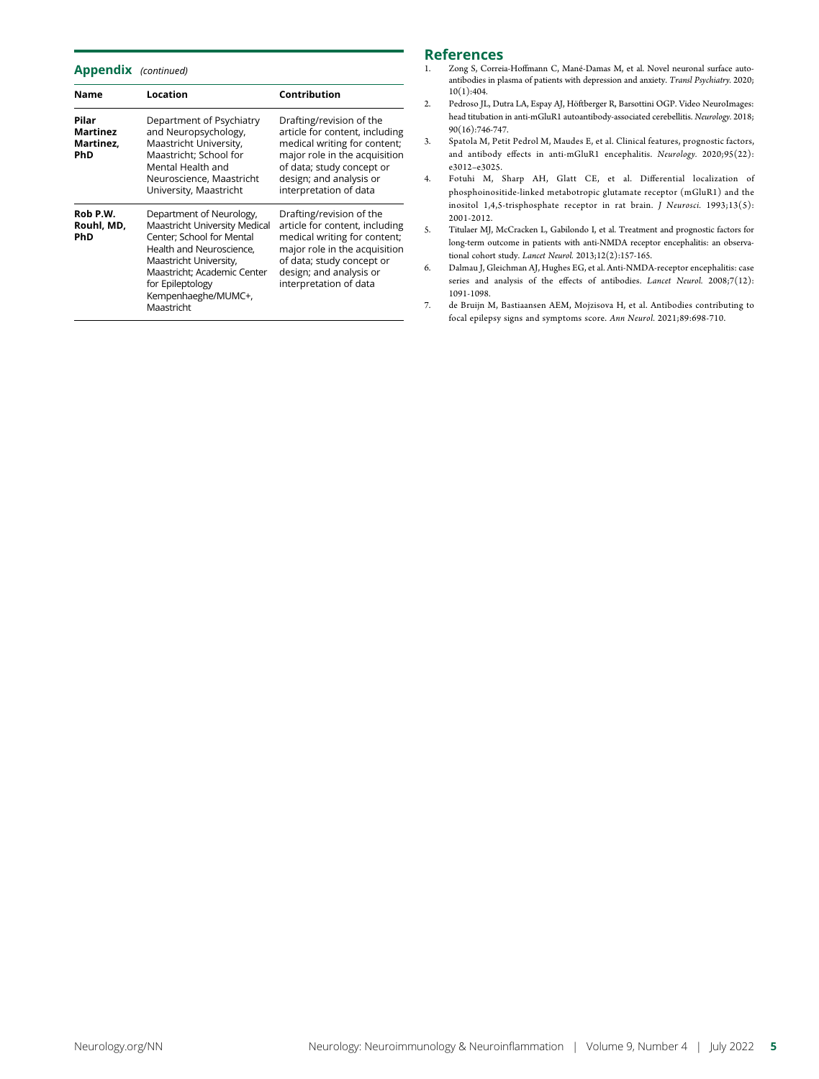Appendix (continued)

| <b>Name</b>                           | Location                                                                                                                                                                                                                             | Contribution                                                                                                                                                                                                  |
|---------------------------------------|--------------------------------------------------------------------------------------------------------------------------------------------------------------------------------------------------------------------------------------|---------------------------------------------------------------------------------------------------------------------------------------------------------------------------------------------------------------|
| Pilar<br>Martinez<br>Martinez.<br>PhD | Department of Psychiatry<br>and Neuropsychology,<br>Maastricht University,<br>Maastricht: School for<br>Mental Health and<br>Neuroscience, Maastricht<br>University, Maastricht                                                      | Drafting/revision of the<br>article for content, including<br>medical writing for content;<br>major role in the acquisition<br>of data; study concept or<br>design; and analysis or<br>interpretation of data |
| Rob P.W.<br>Rouhl, MD,<br>PhD         | Department of Neurology,<br>Maastricht University Medical<br>Center; School for Mental<br>Health and Neuroscience.<br>Maastricht University,<br>Maastricht; Academic Center<br>for Epileptology<br>Kempenhaeghe/MUMC+,<br>Maastricht | Drafting/revision of the<br>article for content, including<br>medical writing for content;<br>major role in the acquisition<br>of data; study concept or<br>design; and analysis or<br>interpretation of data |

# References<br>1. Zong S. Correia

- Zong S, Correia-Hoffmann C, Mané-Damas M, et al. Novel neuronal surface autoantibodies in plasma of patients with depression and anxiety. Transl Psychiatry. 2020; 10(1):404.
- 2. Pedroso JL, Dutra LA, Espay AJ, Höftberger R, Barsottini OGP. Video NeuroImages: head titubation in anti-mGluR1 autoantibody-associated cerebellitis. Neurology. 2018; 90(16):746-747.
- 3. Spatola M, Petit Pedrol M, Maudes E, et al. Clinical features, prognostic factors, and antibody effects in anti-mGluR1 encephalitis. Neurology. 2020;95(22): e3012–e3025.
- 4. Fotuhi M, Sharp AH, Glatt CE, et al. Differential localization of phosphoinositide-linked metabotropic glutamate receptor (mGluR1) and the inositol 1,4,5-trisphosphate receptor in rat brain. J Neurosci. 1993;13(5): 2001-2012.
- 5. Titulaer MJ, McCracken L, Gabilondo I, et al. Treatment and prognostic factors for long-term outcome in patients with anti-NMDA receptor encephalitis: an observational cohort study. Lancet Neurol. 2013;12(2):157-165.
- 6. Dalmau J, Gleichman AJ, Hughes EG, et al. Anti-NMDA-receptor encephalitis: case series and analysis of the effects of antibodies. Lancet Neurol. 2008;7(12): 1091-1098.
- 7. de Bruijn M, Bastiaansen AEM, Mojzisova H, et al. Antibodies contributing to focal epilepsy signs and symptoms score. Ann Neurol. 2021;89:698-710.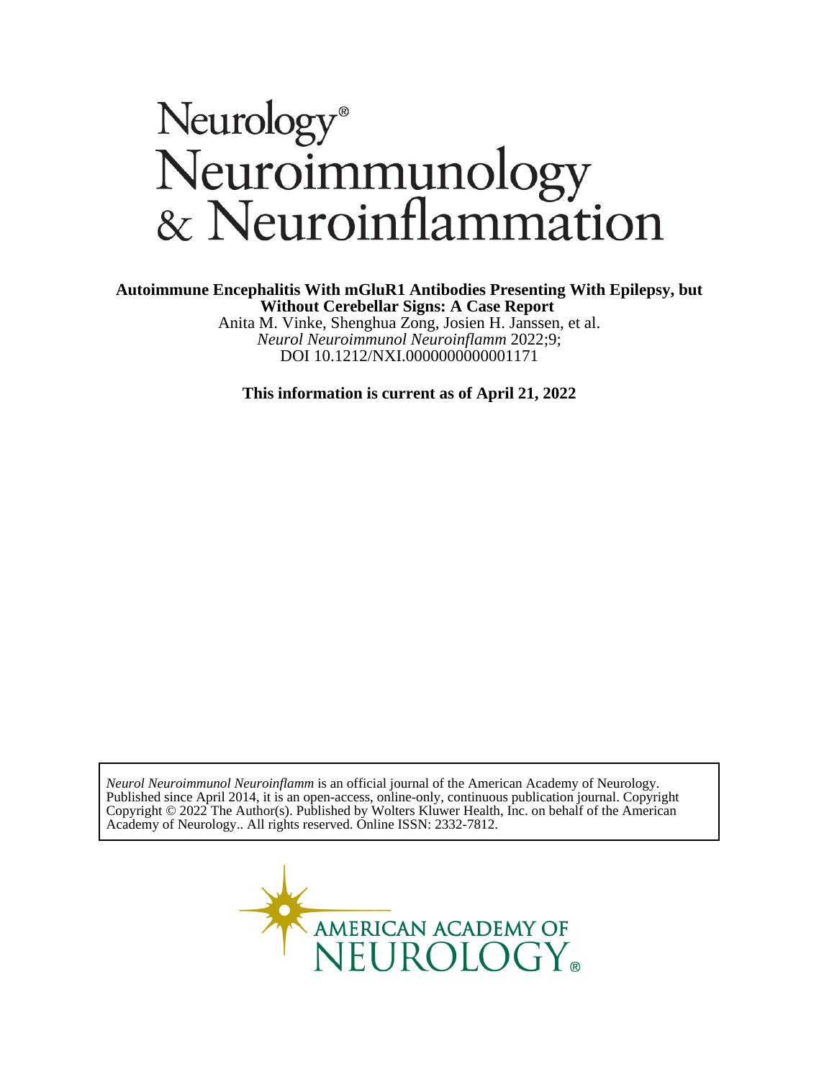# Neurology®<br>Neuroimmunology<br>& Neuroinflammation

Anita M. Vinke, Shenghua Zong, Josien H. Janssen, et al. **Without Cerebellar Signs: A Case Report Autoimmune Encephalitis With mGluR1 Antibodies Presenting With Epilepsy, but**

DOI 10.1212/NXI.0000000000001171 *Neurol Neuroimmunol Neuroinflamm* 2022;9;

**This information is current as of April 21, 2022**

Academy of Neurology.. All rights reserved. Online ISSN: 2332-7812. Copyright © 2022 The Author(s). Published by Wolters Kluwer Health, Inc. on behalf of the American Published since April 2014, it is an open-access, online-only, continuous publication journal. Copyright *Neurol Neuroimmunol Neuroinflamm* is an official journal of the American Academy of Neurology.